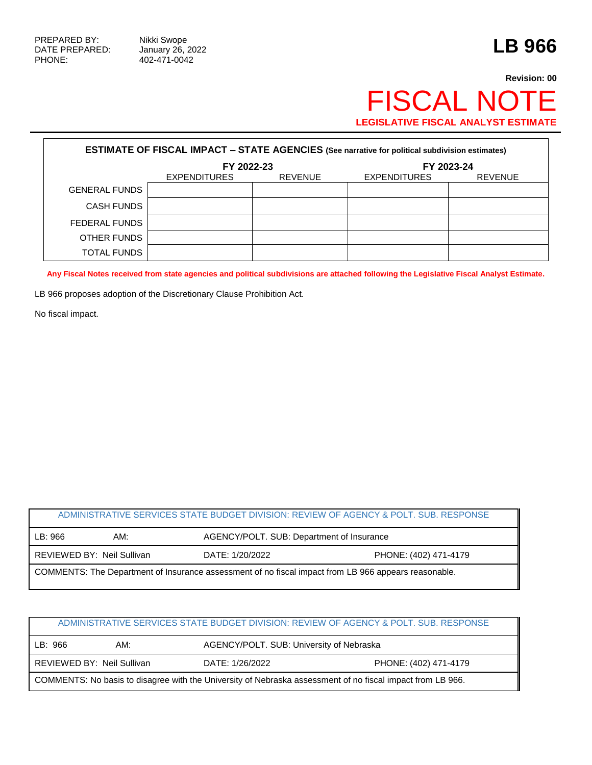# **Revision: 00** FISCAL NOTE **LEGISLATIVE FISCAL ANALYST ESTIMATE**

| <b>ESTIMATE OF FISCAL IMPACT - STATE AGENCIES (See narrative for political subdivision estimates)</b> |              |                |                     |                |  |
|-------------------------------------------------------------------------------------------------------|--------------|----------------|---------------------|----------------|--|
|                                                                                                       | FY 2022-23   |                | FY 2023-24          |                |  |
|                                                                                                       | EXPENDITURES | <b>REVENUE</b> | <b>EXPENDITURES</b> | <b>REVENUE</b> |  |
| <b>GENERAL FUNDS</b>                                                                                  |              |                |                     |                |  |
| CASH FUNDS                                                                                            |              |                |                     |                |  |
| FEDERAL FUNDS                                                                                         |              |                |                     |                |  |
| OTHER FUNDS                                                                                           |              |                |                     |                |  |
| TOTAL FUNDS                                                                                           |              |                |                     |                |  |

**Any Fiscal Notes received from state agencies and political subdivisions are attached following the Legislative Fiscal Analyst Estimate.**

LB 966 proposes adoption of the Discretionary Clause Prohibition Act.

No fiscal impact.

# ADMINISTRATIVE SERVICES STATE BUDGET DIVISION: REVIEW OF AGENCY & POLT. SUB. RESPONSE LB: 966 AM: AM: AGENCY/POLT. SUB: Department of Insurance REVIEWED BY: Neil Sullivan DATE: 1/20/2022 PHONE: (402) 471-4179 COMMENTS: The Department of Insurance assessment of no fiscal impact from LB 966 appears reasonable.

| ADMINISTRATIVE SERVICES STATE BUDGET DIVISION: REVIEW OF AGENCY & POLT, SUB, RESPONSE                      |                            |                                          |                       |  |
|------------------------------------------------------------------------------------------------------------|----------------------------|------------------------------------------|-----------------------|--|
| LB: 966                                                                                                    | AM:                        | AGENCY/POLT. SUB: University of Nebraska |                       |  |
|                                                                                                            | REVIEWED BY: Neil Sullivan | DATE: 1/26/2022                          | PHONE: (402) 471-4179 |  |
| COMMENTS: No basis to disagree with the University of Nebraska assessment of no fiscal impact from LB 966. |                            |                                          |                       |  |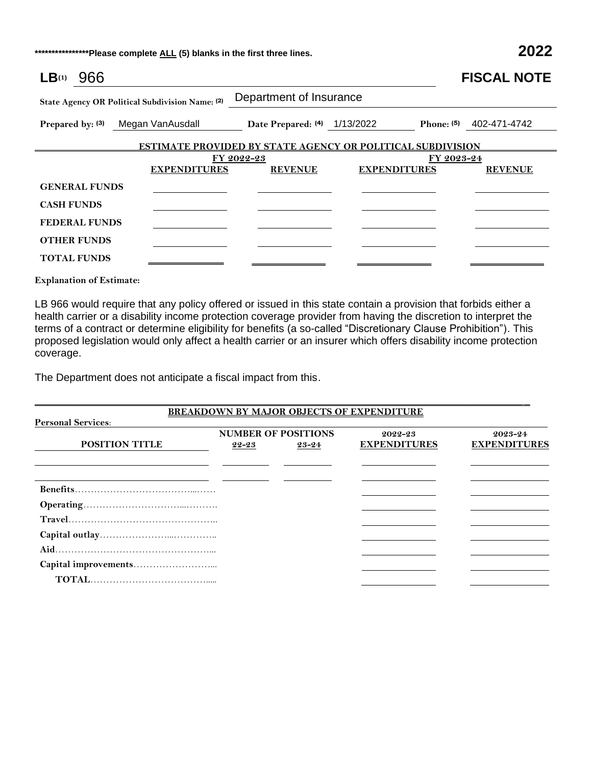**\*\*\*\*\*\*\*\*\*\*\*\*\*\*\*\*Please complete ALL (5) blanks in the first three lines. 2022**

| $LB^{(1)}$<br>966    |                                                 |                              |                                                                   | <b>FISCAL NOTE</b> |
|----------------------|-------------------------------------------------|------------------------------|-------------------------------------------------------------------|--------------------|
|                      | State Agency OR Political Subdivision Name: (2) | Department of Insurance      |                                                                   |                    |
| Prepared by: (3)     | Megan VanAusdall                                | Date Prepared: (4) 1/13/2022 | Phone: $(5)$                                                      | 402-471-4742       |
|                      |                                                 |                              | <b>ESTIMATE PROVIDED BY STATE AGENCY OR POLITICAL SUBDIVISION</b> |                    |
|                      |                                                 | FY 2022-23                   | FY 2023-24                                                        |                    |
|                      | <b>EXPENDITURES</b>                             | <b>REVENUE</b>               | <b>EXPENDITURES</b>                                               | <b>REVENUE</b>     |
| <b>GENERAL FUNDS</b> |                                                 |                              |                                                                   |                    |
| <b>CASH FUNDS</b>    |                                                 |                              |                                                                   |                    |
| <b>FEDERAL FUNDS</b> |                                                 |                              |                                                                   |                    |
| <b>OTHER FUNDS</b>   |                                                 |                              |                                                                   |                    |
| <b>TOTAL FUNDS</b>   |                                                 |                              |                                                                   |                    |

**Explanation of Estimate:**

LB 966 would require that any policy offered or issued in this state contain a provision that forbids either a health carrier or a disability income protection coverage provider from having the discretion to interpret the terms of a contract or determine eligibility for benefits (a so-called "Discretionary Clause Prohibition"). This proposed legislation would only affect a health carrier or an insurer which offers disability income protection coverage.

The Department does not anticipate a fiscal impact from this.

|                           |       |                            | BREAKDOWN BY MAJOR OBJECTS OF EXPENDITURE |                     |
|---------------------------|-------|----------------------------|-------------------------------------------|---------------------|
| <b>Personal Services:</b> |       |                            |                                           |                     |
|                           |       | <b>NUMBER OF POSITIONS</b> | 2022-23                                   | $2023 - 24$         |
| <b>POSITION TITLE</b>     | 22-23 | 23-24                      | <b>EXPENDITURES</b>                       | <b>EXPENDITURES</b> |
|                           |       |                            |                                           |                     |
|                           |       |                            |                                           |                     |
|                           |       |                            |                                           |                     |
|                           |       |                            |                                           |                     |
|                           |       |                            |                                           |                     |
|                           |       |                            |                                           |                     |
|                           |       |                            |                                           |                     |
|                           |       |                            |                                           |                     |